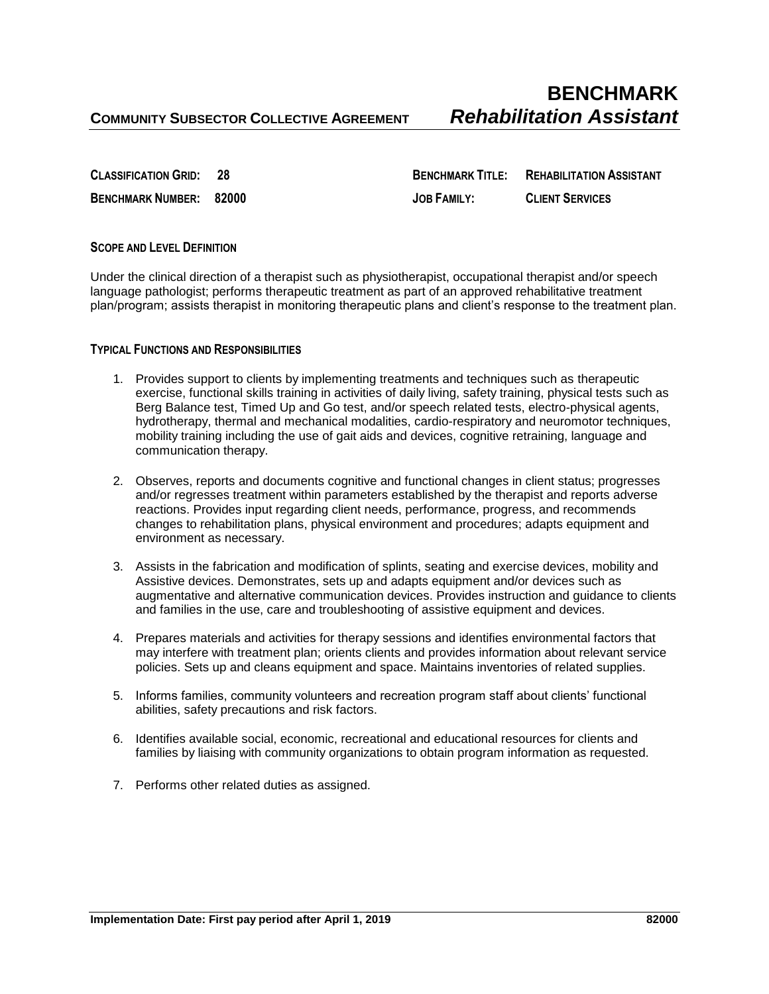**CLASSIFICATION GRID: 28 BENCHMARK TITLE: REHABILITATION ASSISTANT BENCHMARK NUMBER: 82000 JOB FAMILY: CLIENT SERVICES**

# **SCOPE AND LEVEL DEFINITION**

Under the clinical direction of a therapist such as physiotherapist, occupational therapist and/or speech language pathologist; performs therapeutic treatment as part of an approved rehabilitative treatment plan/program; assists therapist in monitoring therapeutic plans and client's response to the treatment plan.

## **TYPICAL FUNCTIONS AND RESPONSIBILITIES**

- 1. Provides support to clients by implementing treatments and techniques such as therapeutic exercise, functional skills training in activities of daily living, safety training, physical tests such as Berg Balance test, Timed Up and Go test, and/or speech related tests, electro-physical agents, hydrotherapy, thermal and mechanical modalities, cardio-respiratory and neuromotor techniques, mobility training including the use of gait aids and devices, cognitive retraining, language and communication therapy.
- 2. Observes, reports and documents cognitive and functional changes in client status; progresses and/or regresses treatment within parameters established by the therapist and reports adverse reactions. Provides input regarding client needs, performance, progress, and recommends changes to rehabilitation plans, physical environment and procedures; adapts equipment and environment as necessary.
- 3. Assists in the fabrication and modification of splints, seating and exercise devices, mobility and Assistive devices. Demonstrates, sets up and adapts equipment and/or devices such as augmentative and alternative communication devices. Provides instruction and guidance to clients and families in the use, care and troubleshooting of assistive equipment and devices.
- 4. Prepares materials and activities for therapy sessions and identifies environmental factors that may interfere with treatment plan; orients clients and provides information about relevant service policies. Sets up and cleans equipment and space. Maintains inventories of related supplies.
- 5. Informs families, community volunteers and recreation program staff about clients' functional abilities, safety precautions and risk factors.
- 6. Identifies available social, economic, recreational and educational resources for clients and families by liaising with community organizations to obtain program information as requested.
- 7. Performs other related duties as assigned.